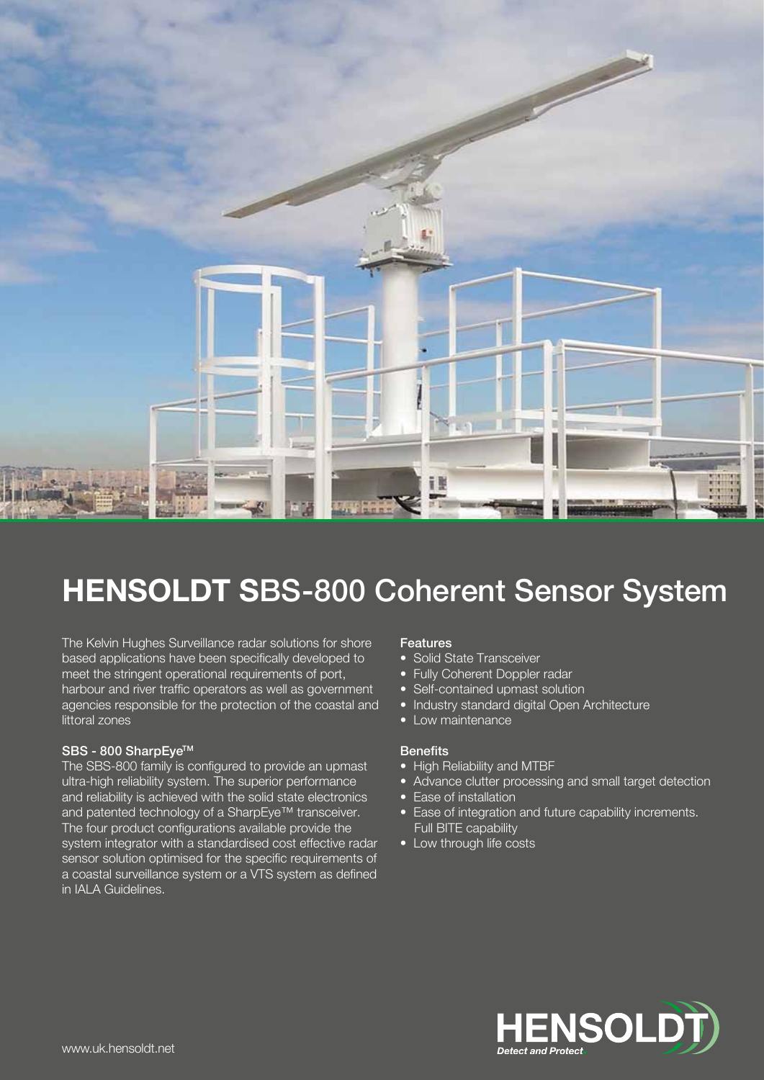

# HENSOLDT SBS-800 Coherent Sensor System

The Kelvin Hughes Surveillance radar solutions for shore based applications have been specifically developed to meet the stringent operational requirements of port, harbour and river traffic operators as well as government agencies responsible for the protection of the coastal and littoral zones

#### SBS - 800 SharpEye™

The SBS-800 family is configured to provide an upmast ultra-high reliability system. The superior performance and reliability is achieved with the solid state electronics and patented technology of a SharpEye™ transceiver. The four product configurations available provide the system integrator with a standardised cost effective radar sensor solution optimised for the specific requirements of a coastal surveillance system or a VTS system as defined in IALA Guidelines.

#### Features

- Solid State Transceiver
- Fully Coherent Doppler radar
- Self-contained upmast solution
- Industry standard digital Open Architecture
- Low maintenance

#### **Benefits**

- High Reliability and MTBF
- Advance clutter processing and small target detection
- Ease of installation
- Ease of integration and future capability increments. Full BITE capability
- Low through life costs